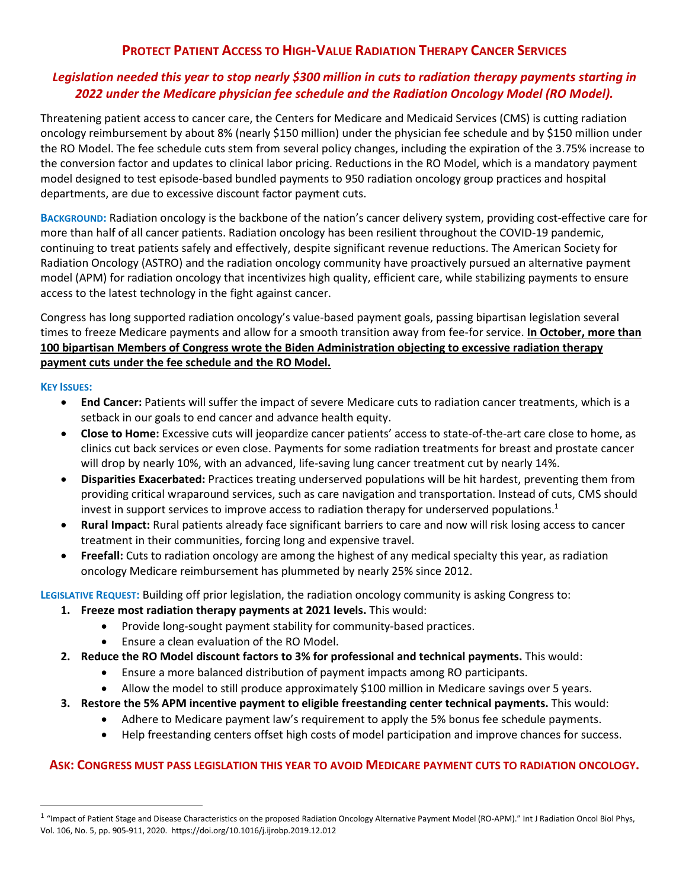# **PROTECT PATIENT ACCESS TO HIGH-VALUE RADIATION THERAPY CANCER SERVICES**

## *Legislation needed this year to stop nearly \$300 million in cuts to radiation therapy payments starting in 2022 under the Medicare physician fee schedule and the Radiation Oncology Model (RO Model).*

Threatening patient access to cancer care, the Centers for Medicare and Medicaid Services (CMS) is cutting radiation oncology reimbursement by about 8% (nearly \$150 million) under the physician fee schedule and by \$150 million under the RO Model. The fee schedule cuts stem from several policy changes, including the expiration of the 3.75% increase to the conversion factor and updates to clinical labor pricing. Reductions in the RO Model, which is a mandatory payment model designed to test episode-based bundled payments to 950 radiation oncology group practices and hospital departments, are due to excessive discount factor payment cuts.

**BACKGROUND:** Radiation oncology is the backbone of the nation's cancer delivery system, providing cost-effective care for more than half of all cancer patients. Radiation oncology has been resilient throughout the COVID-19 pandemic, continuing to treat patients safely and effectively, despite significant revenue reductions. The American Society for Radiation Oncology (ASTRO) and the radiation oncology community have proactively pursued an alternative payment model (APM) for radiation oncology that incentivizes high quality, efficient care, while stabilizing payments to ensure access to the latest technology in the fight against cancer.

Congress has long supported radiation oncology's value-based payment goals, passing bipartisan legislation several times to freeze Medicare payments and allow for a smooth transition away from fee-for service. **In October, more than 100 bipartisan Members of Congress wrote the Biden Administration objecting to excessive radiation therapy payment cuts under the fee schedule and the RO Model.** 

### **KEY ISSUES:**

- **End Cancer:** Patients will suffer the impact of severe Medicare cuts to radiation cancer treatments, which is a setback in our goals to end cancer and advance health equity.
- **Close to Home:** Excessive cuts will jeopardize cancer patients' access to state-of-the-art care close to home, as clinics cut back services or even close. Payments for some radiation treatments for breast and prostate cancer will drop by nearly 10%, with an advanced, life-saving lung cancer treatment cut by nearly 14%.
- **Disparities Exacerbated:** Practices treating underserved populations will be hit hardest, preventing them from providing critical wraparound services, such as care navigation and transportation. Instead of cuts, CMS should invest in support services to improve access to radiation therapy for underserved populations.<sup>1</sup>
- **Rural Impact:** Rural patients already face significant barriers to care and now will risk losing access to cancer treatment in their communities, forcing long and expensive travel.
- **Freefall:** Cuts to radiation oncology are among the highest of any medical specialty this year, as radiation oncology Medicare reimbursement has plummeted by nearly 25% since 2012.

**LEGISLATIVE REQUEST:** Building off prior legislation, the radiation oncology community is asking Congress to:

- **1. Freeze most radiation therapy payments at 2021 levels.** This would:
	- Provide long-sought payment stability for community-based practices.
	- Ensure a clean evaluation of the RO Model.
- **2. Reduce the RO Model discount factors to 3% for professional and technical payments.** This would:
	- Ensure a more balanced distribution of payment impacts among RO participants.
	- Allow the model to still produce approximately \$100 million in Medicare savings over 5 years.
- **3. Restore the 5% APM incentive payment to eligible freestanding center technical payments.** This would:
	- Adhere to Medicare payment law's requirement to apply the 5% bonus fee schedule payments.
	- Help freestanding centers offset high costs of model participation and improve chances for success.

## **ASK: CONGRESS MUST PASS LEGISLATION THIS YEAR TO AVOID MEDICARE PAYMENT CUTS TO RADIATION ONCOLOGY.**

<sup>&</sup>lt;sup>1</sup> "Impact of Patient Stage and Disease Characteristics on the proposed Radiation Oncology Alternative Payment Model (RO-APM)." Int J Radiation Oncol Biol Phys, Vol. 106, No. 5, pp. 905-911, 2020. https://doi.org/10.1016/j.ijrobp.2019.12.012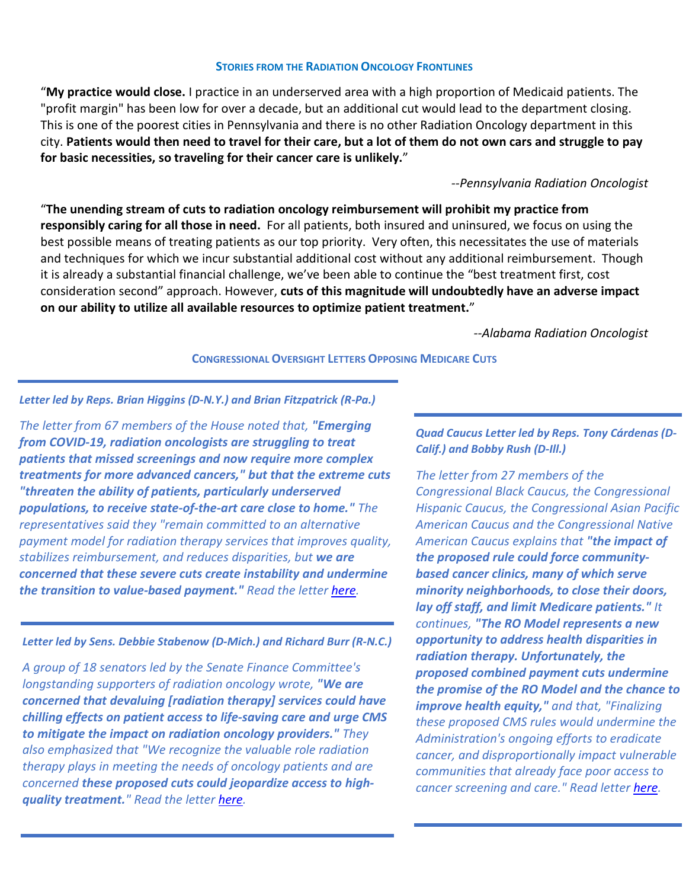#### **STORIES FROM THE RADIATION ONCOLOGY FRONTLINES**

"**My practice would close.** I practice in an underserved area with a high proportion of Medicaid patients. The "profit margin" has been low for over a decade, but an additional cut would lead to the department closing. This is one of the poorest cities in Pennsylvania and there is no other Radiation Oncology department in this city. **Patients would then need to travel for their care, but a lot of them do not own cars and struggle to pay for basic necessities, so traveling for their cancer care is unlikely.**"

#### *--Pennsylvania Radiation Oncologist*

"**The unending stream of cuts to radiation oncology reimbursement will prohibit my practice from responsibly caring for all those in need.** For all patients, both insured and uninsured, we focus on using the best possible means of treating patients as our top priority. Very often, this necessitates the use of materials and techniques for which we incur substantial additional cost without any additional reimbursement. Though it is already a substantial financial challenge, we've been able to continue the "best treatment first, cost consideration second" approach. However, **cuts of this magnitude will undoubtedly have an adverse impact on our ability to utilize all available resources to optimize patient treatment.**"

*--Alabama Radiation Oncologist* 

#### **CONGRESSIONAL OVERSIGHT LETTERS OPPOSING MEDICARE CUTS**

#### *Letter led by Reps. Brian Higgins (D-N.Y.) and Brian Fitzpatrick (R-Pa.)*

*The letter from 67 members of the House noted that, "Emerging from COVID-19, radiation oncologists are struggling to treat patients that missed screenings and now require more complex treatments for more advanced cancers," but that the extreme cuts "threaten the ability of patients, particularly underserved populations, to receive state-of-the-art care close to home." The representatives said they "remain committed to an alternative payment model for radiation therapy services that improves quality, stabilizes reimbursement, and reduces disparities, but we are concerned that these severe cuts create instability and undermine the transition to value-based payment." Read the letter [here.](https://www.astro.org/ASTRO/media/ASTRO/News%20and%20Publications/PDFs/Higgins-Fitzpatrick_ROModelLetter.pdf)* 

#### *Letter led by Sens. Debbie Stabenow (D-Mich.) and Richard Burr (R-N.C.)*

*A group of 18 senators led by the Senate Finance Committee's longstanding supporters of radiation oncology wrote, "We are concerned that devaluing [radiation therapy] services could have chilling effects on patient access to life-saving care and urge CMS to mitigate the impact on radiation oncology providers." They also emphasized that "We recognize the valuable role radiation therapy plays in meeting the needs of oncology patients and are concerned these proposed cuts could jeopardize access to highquality treatment." Read the letter [here.](https://www.astro.org/ASTRO/media/ASTRO/News%20and%20Publications/PDFs/Stabenow-Burr_RadoncLetter.pdf)* 

### *Quad Caucus Letter led by Reps. Tony Cárdenas (D-Calif.) and Bobby Rush (D-Ill.)*

*The letter from 27 members of the Congressional Black Caucus, the Congressional Hispanic Caucus, the Congressional Asian Pacific American Caucus and the Congressional Native American Caucus explains that "the impact of the proposed rule could force communitybased cancer clinics, many of which serve minority neighborhoods, to close their doors, lay off staff, and limit Medicare patients." It continues, "The RO Model represents a new opportunity to address health disparities in radiation therapy. Unfortunately, the proposed combined payment cuts undermine the promise of the RO Model and the chance to improve health equity," and that, "Finalizing these proposed CMS rules would undermine the Administration's ongoing efforts to eradicate cancer, and disproportionally impact vulnerable communities that already face poor access to cancer screening and care." Read lette[r here.](https://www.astro.org/ASTRO/media/ASTRO/News%20and%20Publications/PDFs/ROQuad_CaucusLtr.pdf)*